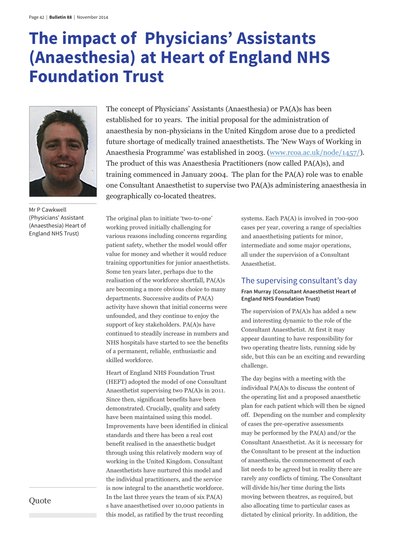# **The impact of Physicians' Assistants (Anaesthesia) at Heart of England NHS Foundation Trust**



Mr P Cawkwell (Physicians' Assistant (Anaesthesia) Heart of England NHS Trust)

The concept of Physicians' Assistants (Anaesthesia) or PA(A)s has been established for 10 years. The initial proposal for the administration of anaesthesia by non-physicians in the United Kingdom arose due to a predicted future shortage of medically trained anaesthetists. The 'New Ways of Working in Anaesthesia Programme' was established in 2003. (www.rcoa.ac.uk/node/1457/). The product of this was Anaesthesia Practitioners (now called PA(A)s), and training commenced in January 2004. The plan for the PA(A) role was to enable one Consultant Anaesthetist to supervise two PA(A)s administering anaesthesia in geographically co-located theatres.

The original plan to initiate 'two-to-one' working proved initially challenging for various reasons including concerns regarding patient safety, whether the model would offer value for money and whether it would reduce training opportunities for junior anaesthetists. Some ten years later, perhaps due to the realisation of the workforce shortfall, PA(A)s are becoming a more obvious choice to many departments. Successive audits of PA(A) activity have shown that initial concerns were unfounded, and they continue to enjoy the support of key stakeholders. PA(A)s have continued to steadily increase in numbers and NHS hospitals have started to see the benefits of a permanent, reliable, enthusiastic and skilled workforce.

Heart of England NHS Foundation Trust (HEFT) adopted the model of one Consultant Anaesthetist supervising two PA(A)s in 2011. Since then, significant benefits have been demonstrated. Crucially, quality and safety have been maintained using this model. Improvements have been identified in clinical standards and there has been a real cost benefit realised in the anaesthetic budget through using this relatively modern way of working in the United Kingdom. Consultant Anaesthetists have nurtured this model and the individual practitioners, and the service is now integral to the anaesthetic workforce. In the last three years the team of six PA(A) s have anaesthetised over 10,000 patients in this model, as ratified by the trust recording

systems. Each PA(A) is involved in 700-900 cases per year, covering a range of specialties and anaesthetising patients for minor, intermediate and some major operations, all under the supervision of a Consultant Anaesthetist.

#### The supervising consultant's day

#### **Fran Murray (Consultant Anaesthetist Heart of England NHS Foundation Trust)**

The supervision of PA(A)s has added a new and interesting dynamic to the role of the Consultant Anaesthetist. At first it may appear daunting to have responsibility for two operating theatre lists, running side by side, but this can be an exciting and rewarding challenge.

The day begins with a meeting with the individual PA(A)s to discuss the content of the operating list and a proposed anaesthetic plan for each patient which will then be signed off. Depending on the number and complexity of cases the pre-operative assessments may be performed by the PA(A) and/or the Consultant Anaesthetist. As it is necessary for the Consultant to be present at the induction of anaesthesia, the commencement of each list needs to be agreed but in reality there are rarely any conflicts of timing. The Consultant will divide his/her time during the lists moving between theatres, as required, but also allocating time to particular cases as dictated by clinical priority. In addition, the

Quote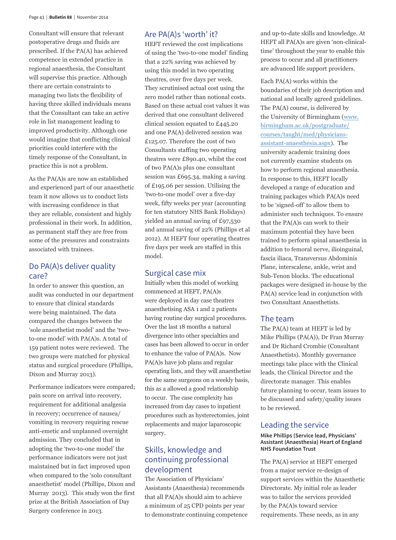Consultant will ensure that relevant postoperative drugs and fluids are prescribed. If the PA(A) has achieved competence in extended practice in regional anaesthesia, the Consultant will supervise this practice. Although there are certain constraints to managing two lists the flexibility of having three skilled individuals means that the Consultant can take an active role in list management leading to improved productivity. Although one would imagine that conflicting clinical priorities could interfere with the timely response of the Consultant, in practice this is not a problem.

As the PA(A)s are now an established and experienced part of our anaesthetic team it now allows us to conduct lists with increasing confidence in that they are reliable, consistent and highly professional in their work. In addition, as permanent staff they are free from some of the pressures and constraints associated with trainees.

# Do PA(A)s deliver quality care?

In order to answer this question, an audit was conducted in our department to ensure that clinical standards were being maintained. The data compared the changes between the 'sole anaesthetist model' and the 'twoto-one model' with PA(A)s. A total of 159 patient notes were reviewed. The two groups were matched for physical status and surgical procedure (Phillips, Dixon and Murray 2013).

Performance indicators were compared; pain score on arrival into recovery, requirement for additional analgesia in recovery; occurrence of nausea/ vomiting in recovery requiring rescue anti-emetic and unplanned overnight admission. They concluded that in adopting the 'two-to-one model' the performance indicators were not just maintained but in fact improved upon when compared to the 'solo consultant anaesthetist' model (Phillips, Dixon and Murray 2013). This study won the first prize at the British Association of Day Surgery conference in 2013.

# Are PA(A)s 'worth' it?

HEFT reviewed the cost implications of using the 'two-to-one model' finding that a 22% saving was achieved by using this model in two operating theatres, over five days per week. They scrutinised actual cost using the zero model rather than notional costs. Based on these actual cost values it was derived that one consultant delivered clinical session equated to £445.20 and one PA(A) delivered session was £125.07. Therefore the cost of two Consultants staffing two operating theatres were £890.40, whilst the cost of two PA(A)s plus one consultant session was £695.34, making a saving of £195.06 per session. Utilising the 'two-to-one model' over a five-day week, fifty weeks per year (accounting for ten statutory NHS Bank Holidays) yielded an annual saving of £97,530 and annual saving of 22% (Phillips et al 2012). At HEFT four operating theatres five days per week are staffed in this model.

#### Surgical case mix

Initially when this model of working commenced at HEFT, PA(A)s were deployed in day case theatres anaesthetising ASA 1 and 2 patients having routine day surgical procedures. Over the last 18 months a natural divergence into other specialties and cases has been allowed to occur in order to enhance the value of PA(A)s. Now PA(A)s have job plans and regular operating lists, and they will anaesthetise for the same surgeons on a weekly basis, this as a allowed a good relationship to occur. The case complexity has increased from day cases to inpatient procedures such as hysterectomies, joint replacements and major laparoscopic surgery.

# Skills, knowledge and continuing professional development

The Association of Physicians' Assistants (Anaesthesia) recommends that all PA(A)s should aim to achieve a minimum of 25 CPD points per year to demonstrate continuing competence

and up-to-date skills and knowledge. At HEFT all PA(A)s are given 'non-clinicaltime' throughout the year to enable this process to occur and all practitioners are advanced life support providers.

Each PA(A) works within the boundaries of their job description and national and locally agreed guidelines. The PA(A) course, is delivered by the University of Birmingham (www. birmingham.ac.uk/postgraduate/ courses/taught/med/physiciansassistant-anaesthesia.aspx). The university academic training does not currently examine students on how to perform regional anaesthesia. In response to this, HEFT locally developed a range of education and training packages which PA(A)s need to be 'signed-off' to allow them to administer such techniques. To ensure that the PA(A)s can work to their maximum potential they have been trained to perform spinal anaesthesia in addition to femoral nerve, ilioinguinal, fascia iliaca, Transversus Abdominis Plane, interscalene, ankle, wrist and Sub-Tenon blocks. The educational packages were designed in-house by the PA(A) service lead in conjunction with two Consultant Anaesthetists.

# The team

The PA(A) team at HEFT is led by Mike Phillips (PA(A)), Dr Fran Murray and Dr Richard Crombie (Consultant Anaesthetists). Monthly governance meetings take place with the Clinical leads, the Clinical Director and the directorate manager. This enables future planning to occur, team issues to be discussed and safety/quality issues to be reviewed.

# Leading the service

#### **Mike Phillips (Service lead, Physicians' Assistant (Anaesthesia) Heart of England NHS Foundation Trust**

The PA(A) service at HEFT emerged from a major service re-design of support services within the Anaesthetic Directorate. My initial role as leader was to tailor the services provided by the PA(A)s toward service requirements. These needs, as in any